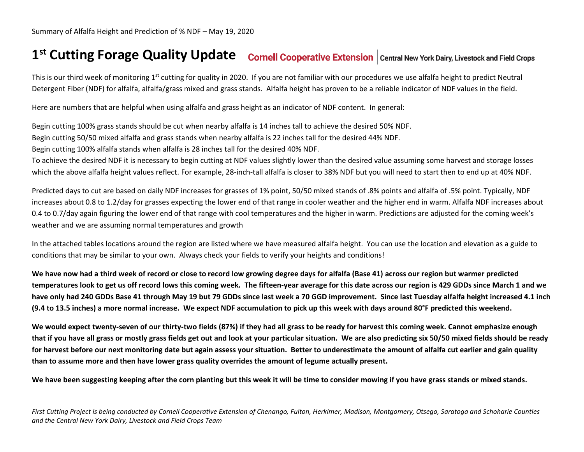## **1 st Cutting Forage Quality Update**

This is our third week of monitoring 1<sup>st</sup> cutting for quality in 2020. If you are not familiar with our procedures we use alfalfa height to predict Neutral Detergent Fiber (NDF) for alfalfa, alfalfa/grass mixed and grass stands. Alfalfa height has proven to be a reliable indicator of NDF values in the field.

Here are numbers that are helpful when using alfalfa and grass height as an indicator of NDF content. In general:

Begin cutting 100% grass stands should be cut when nearby alfalfa is 14 inches tall to achieve the desired 50% NDF.

Begin cutting 50/50 mixed alfalfa and grass stands when nearby alfalfa is 22 inches tall for the desired 44% NDF.

Begin cutting 100% alfalfa stands when alfalfa is 28 inches tall for the desired 40% NDF.

To achieve the desired NDF it is necessary to begin cutting at NDF values slightly lower than the desired value assuming some harvest and storage losses which the above alfalfa height values reflect. For example, 28-inch-tall alfalfa is closer to 38% NDF but you will need to start then to end up at 40% NDF.

Predicted days to cut are based on daily NDF increases for grasses of 1% point, 50/50 mixed stands of .8% points and alfalfa of .5% point. Typically, NDF increases about 0.8 to 1.2/day for grasses expecting the lower end of that range in cooler weather and the higher end in warm. Alfalfa NDF increases about 0.4 to 0.7/day again figuring the lower end of that range with cool temperatures and the higher in warm. Predictions are adjusted for the coming week's weather and we are assuming normal temperatures and growth

In the attached tables locations around the region are listed where we have measured alfalfa height. You can use the location and elevation as a guide to conditions that may be similar to your own. Always check your fields to verify your heights and conditions!

**We have now had a third week of record or close to record low growing degree days for alfalfa (Base 41) across our region but warmer predicted temperatures look to get us off record lows this coming week. The fifteen-year average for this date across our region is 429 GDDs since March 1 and we have only had 240 GDDs Base 41 through May 19 but 79 GDDs since last week a 70 GGD improvement. Since last Tuesday alfalfa height increased 4.1 inch (9.4 to 13.5 inches) a more normal increase. We expect NDF accumulation to pick up this week with days around 80°F predicted this weekend.**

**We would expect twenty-seven of our thirty-two fields (87%) if they had all grass to be ready for harvest this coming week. Cannot emphasize enough that if you have all grass or mostly grass fields get out and look at your particular situation. We are also predicting six 50/50 mixed fields should be ready for harvest before our next monitoring date but again assess your situation. Better to underestimate the amount of alfalfa cut earlier and gain quality than to assume more and then have lower grass quality overrides the amount of legume actually present.**

**We have been suggesting keeping after the corn planting but this week it will be time to consider mowing if you have grass stands or mixed stands.**

*First Cutting Project is being conducted by Cornell Cooperative Extension of Chenango, Fulton, Herkimer, Madison, Montgomery, Otsego, Saratoga and Schoharie Counties and the Central New York Dairy, Livestock and Field Crops Team*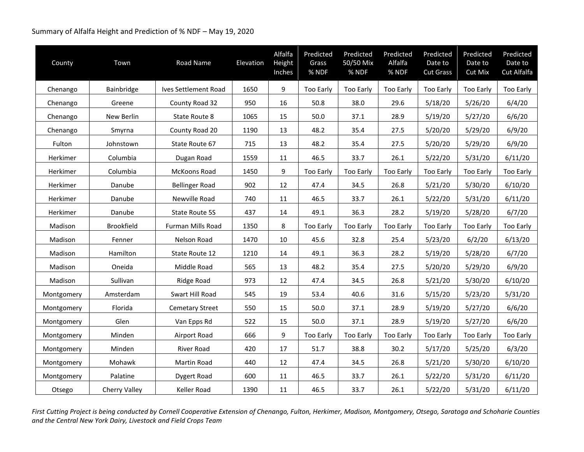## Summary of Alfalfa Height and Prediction of % NDF – May 19, 2020

| County          | Town              | Road Name              | Elevation | Alfalfa<br>Height<br>Inches | Predicted<br>Grass<br>% NDF | Predicted<br>50/50 Mix<br>% NDF | Predicted<br>Alfalfa<br>% NDF | Predicted<br>Date to<br><b>Cut Grass</b> | Predicted<br>Date to<br>Cut Mix | Predicted<br>Date to<br>Cut Alfalfa |
|-----------------|-------------------|------------------------|-----------|-----------------------------|-----------------------------|---------------------------------|-------------------------------|------------------------------------------|---------------------------------|-------------------------------------|
| Chenango        | Bainbridge        | Ives Settlement Road   | 1650      | 9                           | Too Early                   | Too Early                       | <b>Too Early</b>              | <b>Too Early</b>                         | <b>Too Early</b>                | Too Early                           |
| Chenango        | Greene            | County Road 32         | 950       | 16                          | 50.8                        | 38.0                            | 29.6                          | 5/18/20                                  | 5/26/20                         | 6/4/20                              |
| Chenango        | New Berlin        | State Route 8          | 1065      | 15                          | 50.0                        | 37.1                            | 28.9                          | 5/19/20                                  | 5/27/20                         | 6/6/20                              |
| Chenango        | Smyrna            | County Road 20         | 1190      | 13                          | 48.2                        | 35.4                            | 27.5                          | 5/20/20                                  | 5/29/20                         | 6/9/20                              |
| Fulton          | Johnstown         | State Route 67         | 715       | 13                          | 48.2                        | 35.4                            | 27.5                          | 5/20/20                                  | 5/29/20                         | 6/9/20                              |
| Herkimer        | Columbia          | Dugan Road             | 1559      | 11                          | 46.5                        | 33.7                            | 26.1                          | 5/22/20                                  | 5/31/20                         | 6/11/20                             |
| <b>Herkimer</b> | Columbia          | McKoons Road           | 1450      | 9                           | Too Early                   | <b>Too Early</b>                | <b>Too Early</b>              | <b>Too Early</b>                         | Too Early                       | Too Early                           |
| Herkimer        | Danube            | <b>Bellinger Road</b>  | 902       | 12                          | 47.4                        | 34.5                            | 26.8                          | 5/21/20                                  | 5/30/20                         | 6/10/20                             |
| Herkimer        | Danube            | Newville Road          | 740       | 11                          | 46.5                        | 33.7                            | 26.1                          | 5/22/20                                  | 5/31/20                         | 6/11/20                             |
| Herkimer        | Danube            | State Route 5S         | 437       | 14                          | 49.1                        | 36.3                            | 28.2                          | 5/19/20                                  | 5/28/20                         | 6/7/20                              |
| Madison         | <b>Brookfield</b> | Furman Mills Road      | 1350      | 8                           | Too Early                   | Too Early                       | Too Early                     | Too Early                                | Too Early                       | Too Early                           |
| Madison         | Fenner            | Nelson Road            | 1470      | 10                          | 45.6                        | 32.8                            | 25.4                          | 5/23/20                                  | 6/2/20                          | 6/13/20                             |
| Madison         | Hamilton          | State Route 12         | 1210      | 14                          | 49.1                        | 36.3                            | 28.2                          | 5/19/20                                  | 5/28/20                         | 6/7/20                              |
| Madison         | Oneida            | Middle Road            | 565       | 13                          | 48.2                        | 35.4                            | 27.5                          | 5/20/20                                  | 5/29/20                         | 6/9/20                              |
| Madison         | Sullivan          | Ridge Road             | 973       | 12                          | 47.4                        | 34.5                            | 26.8                          | 5/21/20                                  | 5/30/20                         | 6/10/20                             |
| Montgomery      | Amsterdam         | Swart Hill Road        | 545       | 19                          | 53.4                        | 40.6                            | 31.6                          | 5/15/20                                  | 5/23/20                         | 5/31/20                             |
| Montgomery      | Florida           | <b>Cemetary Street</b> | 550       | 15                          | 50.0                        | 37.1                            | 28.9                          | 5/19/20                                  | 5/27/20                         | 6/6/20                              |
| Montgomery      | Glen              | Van Epps Rd            | 522       | 15                          | 50.0                        | 37.1                            | 28.9                          | 5/19/20                                  | 5/27/20                         | 6/6/20                              |
| Montgomery      | Minden            | Airport Road           | 666       | 9                           | Too Early                   | <b>Too Early</b>                | Too Early                     | <b>Too Early</b>                         | <b>Too Early</b>                | Too Early                           |
| Montgomery      | Minden            | <b>River Road</b>      | 420       | 17                          | 51.7                        | 38.8                            | 30.2                          | 5/17/20                                  | 5/25/20                         | 6/3/20                              |
| Montgomery      | Mohawk            | Martin Road            | 440       | 12                          | 47.4                        | 34.5                            | 26.8                          | 5/21/20                                  | 5/30/20                         | 6/10/20                             |
| Montgomery      | Palatine          | Dygert Road            | 600       | 11                          | 46.5                        | 33.7                            | 26.1                          | 5/22/20                                  | 5/31/20                         | 6/11/20                             |
| Otsego          | Cherry Valley     | Keller Road            | 1390      | 11                          | 46.5                        | 33.7                            | 26.1                          | 5/22/20                                  | 5/31/20                         | 6/11/20                             |

*First Cutting Project is being conducted by Cornell Cooperative Extension of Chenango, Fulton, Herkimer, Madison, Montgomery, Otsego, Saratoga and Schoharie Counties and the Central New York Dairy, Livestock and Field Crops Team*